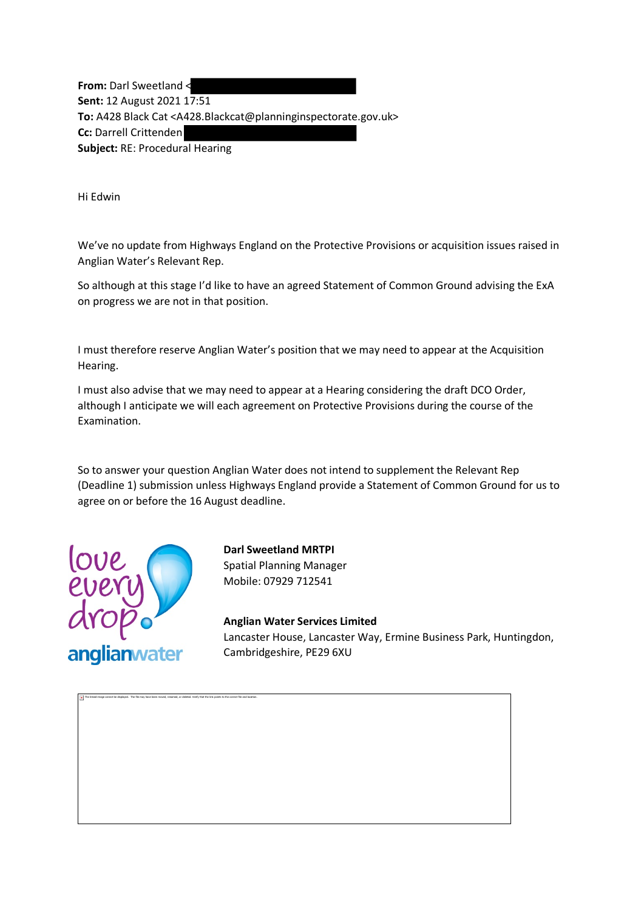**From:** Darl Sweetland < **Sent:** 12 August 2021 17:51 **To:** A428 Black Cat <A428.Blackcat@planninginspectorate.gov.uk> **Cc:** Darrell Crittenden **Subject:** RE: Procedural Hearing

Hi Edwin

We've no update from Highways England on the Protective Provisions or acquisition issues raised in Anglian Water's Relevant Rep.

So although at this stage I'd like to have an agreed Statement of Common Ground advising the ExA on progress we are not in that position.

I must therefore reserve Anglian Water's position that we may need to appear at the Acquisition Hearing.

I must also advise that we may need to appear at a Hearing considering the draft DCO Order, although I anticipate we will each agreement on Protective Provisions during the course of the Examination.

So to answer your question Anglian Water does not intend to supplement the Relevant Rep (Deadline 1) submission unless Highways England provide a Statement of Common Ground for us to agree on or before the 16 August deadline.



The linked image cannot be displayed. The file may have been moved, renamed, or deleted. Verify that the link points to the correct file and location.

**Darl Sweetland MRTPI** Spatial Planning Manager Mobile: 07929 712541

**Anglian Water Services Limited** Lancaster House, Lancaster Way, Ermine Business Park, Huntingdon, Cambridgeshire, PE29 6XU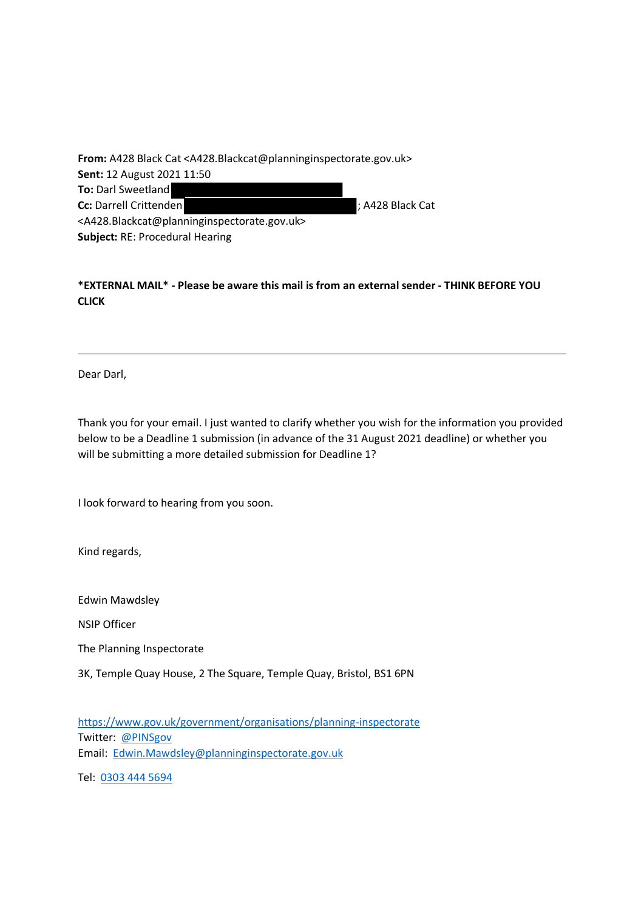**From:** A428 Black Cat <A428.Blackcat@planninginspectorate.gov.uk> **Sent:** 12 August 2021 11:50 **To:** Darl Sweetland **Cc:** Darrell Crittenden **CC:** Darrell Crittenden **in the CC:**  $\frac{1}{2}$  A428 Black Cat <A428.Blackcat@planninginspectorate.gov.uk> **Subject:** RE: Procedural Hearing

## **\*EXTERNAL MAIL\* - Please be aware this mail is from an external sender - THINK BEFORE YOU CLICK**

Dear Darl,

Thank you for your email. I just wanted to clarify whether you wish for the information you provided below to be a Deadline 1 submission (in advance of the 31 August 2021 deadline) or whether you will be submitting a more detailed submission for Deadline 1?

I look forward to hearing from you soon.

Kind regards,

Edwin Mawdsley

NSIP Officer

The Planning Inspectorate

3K, Temple Quay House, 2 The Square, Temple Quay, Bristol, BS1 6PN

[https://www.gov.uk/government/organisations/planning-inspectorate](https://gbr01.safelinks.protection.outlook.com/?url=https%3A%2F%2Fwww.gov.uk%2Fgovernment%2Forganisations%2Fplanning-inspectorate&data=04%7C01%7Ca428.blackcat%40planninginspectorate.gov.uk%7C4a64e82504d84c289ddd08d95db15aa3%7C5878df986f8848ab9322998ce557088d%7C0%7C0%7C637643838579996394%7CUnknown%7CTWFpbGZsb3d8eyJWIjoiMC4wLjAwMDAiLCJQIjoiV2luMzIiLCJBTiI6Ik1haWwiLCJXVCI6Mn0%3D%7C1000&sdata=aCVcRN29jlMcivgieQstAL7Tip7gh5grfwqLpfMweZo%3D&reserved=0) Twitter: [@PINSgov](mailto:@PINSgov) Email: [Edwin.Mawdsley@planninginspectorate.gov.uk](mailto:Edwin.Mawdsley@planninginspectorate.gov.uk)

Tel: [0303 444 5694](tel:03034445694)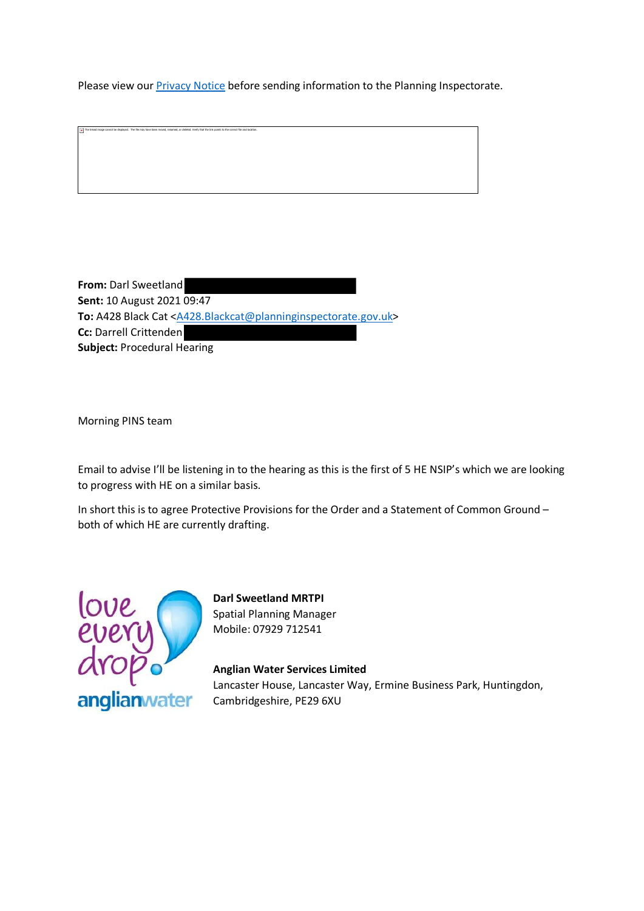Please view our **Privacy Notice** before sending information to the Planning Inspectorate.

**From:** Darl Sweetland **Sent:** 10 August 2021 09:47 To: A428 Black Cat <A428.Blackcat@planninginspectorate.gov.uk> **Cc:** Darrell Crittenden **Subject:** Procedural Hearing

Morning PINS team

The linked image cannot be displayed. The file may have been moved, renamed, or deleted. Verify that the link points to the correct file and location

Email to advise I'll be listening in to the hearing as this is the first of 5 HE NSIP's which we are looking to progress with HE on a similar basis.

In short this is to agree Protective Provisions for the Order and a Statement of Common Ground – both of which HE are currently drafting.



**Darl Sweetland MRTPI** Spatial Planning Manager Mobile: 07929 712541

**Anglian Water Services Limited** Lancaster House, Lancaster Way, Ermine Business Park, Huntingdon, Cambridgeshire, PE29 6XU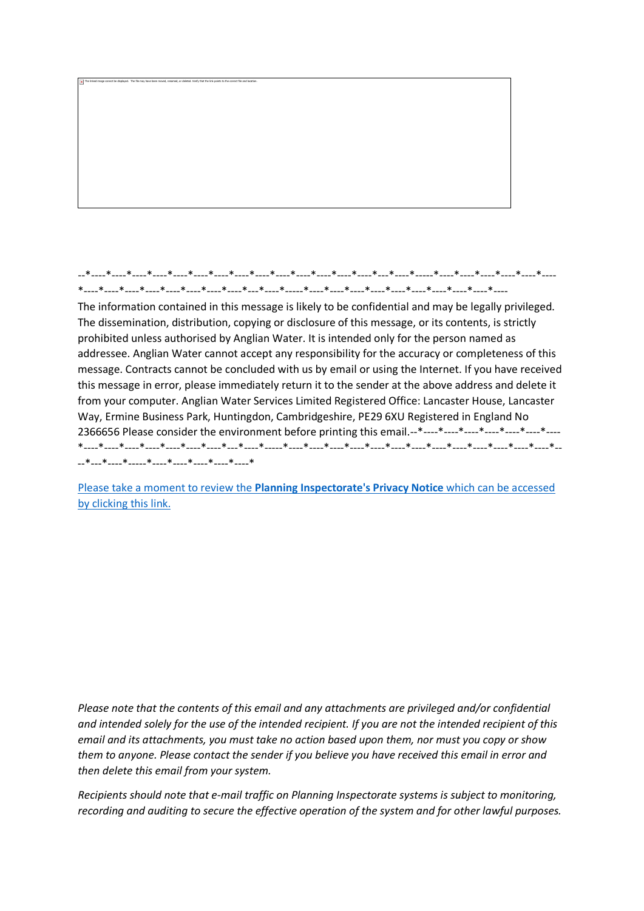## --\*----\*----\*----\*----\*----\*----\*----\*----\*----\*----\*----\*----\*----\*----\*---\*----\*-----\*----\*----\*----\*----\*----\*---- \*----\*----\*----\*----\*----\*----\*----\*----\*---\*----\*-----\*----\*----\*----\*----\*----\*----\*----\*----\*----\*----

The linked image cannot be displayed. The file may have been moved, renamed, or deleted. Verify that the link points to the correct file and location

The information contained in this message is likely to be confidential and may be legally privileged. The dissemination, distribution, copying or disclosure of this message, or its contents, is strictly prohibited unless authorised by Anglian Water. It is intended only for the person named as addressee. Anglian Water cannot accept any responsibility for the accuracy or completeness of this message. Contracts cannot be concluded with us by email or using the Internet. If you have received this message in error, please immediately return it to the sender at the above address and delete it from your computer. Anglian Water Services Limited Registered Office: Lancaster House, Lancaster Way, Ermine Business Park, Huntingdon, Cambridgeshire, PE29 6XU Registered in England No 2366656 Please consider the environment before printing this email.--\*----\*----\*----\*----\*----\*----\*---- \*----\*----\*----\*----\*----\*----\*----\*---\*----\*-----\*----\*----\*----\*----\*----\*----\*----\*----\*----\*----\*----\*----\*----\*-- --\*---\*----\*-----\*----\*----\*----\*----\*----\*

Please take a moment to review the **[Planning Inspectorate's Privacy Notice](https://gbr01.safelinks.protection.outlook.com/?url=https%3A%2F%2Fwww.gov.uk%2Fgovernment%2Fpublications%2Fplanning-inspectorate-privacy-notices&data=04%7C01%7Ca428.blackcat%40planninginspectorate.gov.uk%7C4a64e82504d84c289ddd08d95db15aa3%7C5878df986f8848ab9322998ce557088d%7C0%7C0%7C637643838580006392%7CUnknown%7CTWFpbGZsb3d8eyJWIjoiMC4wLjAwMDAiLCJQIjoiV2luMzIiLCJBTiI6Ik1haWwiLCJXVCI6Mn0%3D%7C1000&sdata=Y2g018y3oDGXOlIMm%2FZsJadtvH7FeZmGtPScXVhoFGw%3D&reserved=0)** which can be accessed [by clicking this link.](https://gbr01.safelinks.protection.outlook.com/?url=https%3A%2F%2Fwww.gov.uk%2Fgovernment%2Fpublications%2Fplanning-inspectorate-privacy-notices&data=04%7C01%7Ca428.blackcat%40planninginspectorate.gov.uk%7C4a64e82504d84c289ddd08d95db15aa3%7C5878df986f8848ab9322998ce557088d%7C0%7C0%7C637643838580006392%7CUnknown%7CTWFpbGZsb3d8eyJWIjoiMC4wLjAwMDAiLCJQIjoiV2luMzIiLCJBTiI6Ik1haWwiLCJXVCI6Mn0%3D%7C1000&sdata=Y2g018y3oDGXOlIMm%2FZsJadtvH7FeZmGtPScXVhoFGw%3D&reserved=0)

*Please note that the contents of this email and any attachments are privileged and/or confidential and intended solely for the use of the intended recipient. If you are not the intended recipient of this email and its attachments, you must take no action based upon them, nor must you copy or show them to anyone. Please contact the sender if you believe you have received this email in error and then delete this email from your system.*

*Recipients should note that e-mail traffic on Planning Inspectorate systems is subject to monitoring, recording and auditing to secure the effective operation of the system and for other lawful purposes.*